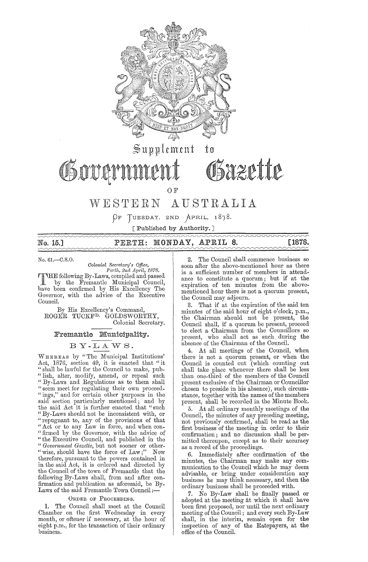

 $\lvert \operatorname{\mathfrak{Sym}\nolimits}$ ement to

# Osovernmer

OF

## WESTERN AUSTRALIA

 $\beta$ F TUESDAY, 2ND APRIL, 1878.

[Published by Authority.]

| No. 15.] | PERTH: MONDAY, APRIL 8. | [1878. |
|----------|-------------------------|--------|
|          |                         |        |

No. 61.—C.S.O.<br> *Colonial Secretary's Office,*<br> *Perth, 2nd April, 1878.*<br> **PHE following By-Laws, compiled and passed<br>
by the Fremantle Municipal Council,<br>
The Temperature Municipal Council,** by the Fremantle Municipal Council, have been confirmed by His Excellency The Governor, with the advice of the Executive Council.

By His Excellency's Command, ROGER TUCKFD. GOLDSWORTHY, Colonial Secretary.

## Fremantle Municipality.

## BY-LAWS.

WHEREAS by "The Municipal Institutions' Act, 1876, section 49, it is enacted that "it " shall be lawful for the Council to make, pnb- "lish, alter, modify, amend, or repeal such "By-Laws and Regulations as to them shall "seem meet for regulating their own proceed- "ings," and for certain other purposes in the said section particularly mentioned; and by the said Act it is further enacted that "such "By-Laws should not be inconsistent with, or "repugnant to, any of the provisions of that "Act or to any Law in force, and when con- "firmed by the Governor, with the advice of " the Executive Council, and published in the *" Gov61'nment Gazette,* but not sooner or other- "wise, should have the force of Law;" Now therefore, pursuant to the powers contained in in the said Act, it is ordered and directed by the Council of the town of Fremantle that the following By-Laws shall, from and after confirmation and publication as aforesaid, be By-Laws of the said Fremantle Town Council:-

## ORDER OF PROCEEDING.

1. The Council shall meet at the Council Chamber on the first Wednesday in every month, or oftener if necessary, at the hour of eight p.m., for the transaction of their ordinary business.

2. The Council shall commence business so soon after the above-mentioned hour as there is a sufficient number of members in attendance to constitute a quorum; but if at the expiration of ten minutes from the abovementioned hour there is not a quorum present, the Council may adjourn.

~aztttt

3. That if at the expiration of the said ten minutes of the said hour of eight o'clock, p.m., the Chairman should not be present, the Council shall, if a quorum be present, proceed to elect a Chairman from the Councillors so present, who shall act as such. during the absence of the Chairman of the Council.

4. At all meetings of the Council, when there is not a quorum present, or when the Council is counted out (which counting out shall take place whenever there shall be less than one-third of the members of the Council present exclusive of the Chairman or Councillor chosen to preside in his absence), such circumstance, together with the names of the members present, shall be recorded in the Minute Book.

5. At all ordinary monthly meetings of the Council, the minutes of any preceding meeting, not previously confirmed, shall be read as the first business of the meeting in order to their confirmation; and no discussion shall be permitted thereupon, except as to their accuracy as a record of the proceedings.

6. Immediately after confirmation of the minutes, the Chairman may make any communication to the Council which he may deem advisable, or bring under consideration any business he may think necessary, and then the ordinary business shall be proceeded with.

7. No By-Law shall be finally passed or adopted at the meeting at which it shall have been first proposed, nor until the next ordinary meeting of the Council; and every such By-Law shall, in the interim, remain open for the inspection of any of the Ratepayers, at the office of the Council.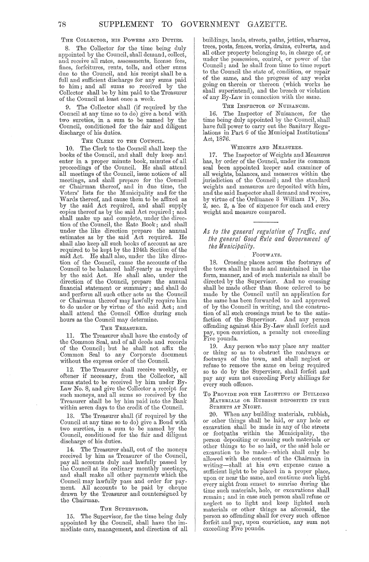THE COLLECTOR, HIS POWERS AND DUTIES.

8. The Oollector for the time being duly appointed by the Oouncil, shall demand, collect, and receive all rates, assessments, license fees, fines, forfeitures, rents, tolls, and other sums due to the Oouncil, and his receipt shall be a full and sufficient discharge for any sums paid to him; and all sums so received by the Collector shall be by him paid to the Treasurer of the Oouncil at least once a week.

9. The Collector shall (if required by the Council at any time so to do) give a bond with two sureties, in a sum to be named by the Council, conditioned for the fair and diligent discharge of his duties.

#### THE CLERK TO THE COUNCIL.

10. The Olerk to the Oouncil shall keep the books of the Oouncil, and shall duly keep and enter in a proper minute book, minutes of all proceedings of the Oouncil. He shall attend all meetings of the Oouncil, issue notices of all meetings, and shall prepare for the Oouncil or Ohairman thereof, and in due time, the Voters' lists for the Municipality and for the Wards thereof, and cause them to be affixed as by the said Act required, and shall supply copies thereof as by the said Act required; and shall make up and complete, under the direction of the Oouncil, the Rate Book; and shall under the like direction prepare the annual estimates as by the said Act required. He shall also keep all such books of account as are required to be kept by the 124th Section of the said Act. He shall also, under the like direction of the Oouncil, cause the accounts of the Oouncil to be balanced half-yearly as required by the said Act. He shall also, under the direction of the Oouncil, prepare the annual financial statement or summary; and shall do and perform all such other acts as the Oouncil or Ohairman thereof may lawfully require him to do under or by virtue of the said Act; and shall attend the Oouncil Office during such hours as the Council may determine.

#### THE TREASURER.

11. The Treasurer shall have the custody of the Oommon Seal, and of all deeds and records of the Oouncil; but he shall not affix the Oommon Seal to any Oorporate document without the express order of the Oouncil.

12. The Treasurer shall receive weekly, or oftener if necessary, from the Oollector, all sums stated to be received by him under By-Law No. 8, and give the Oollector a receipt for such moneys, and all sums so received by the Treasurer shall be by him paid into the Bank within seven days to the credit of the Oouncil.

13. The Treasurer shall (if required by the Oouncil at any time so to do) give a Bond with two sureties, in a sum to be named by the Oouncil, conditioned for the fair and diligent discharge of his duties.

14. The Treasurer shall, out of the moneys received by him as Treasurer of the Oouncil, pay all accounts duly and lawfully passed by the Oouncil at its ordinary monthly meetings, and shall make all other payments which the Oouncilmay lawfully pass and order for payment. All accounts to be paid by cheque drawn by the Treasurer and countersigned by the Ohairman.

#### THE SUPERVISOR.

15. The Supervisor, for the time being duly appointed by the Oouncil, shall have the immediate care, management, and direction of all buildings, lands, streets, paths, jetties, wharves, trees, posts, fences, works, drains, culverts, and all other property belonging to, in charge of, or under the possession, control, or power of the Oouncil; and he shall from time to time report to the Oouncil the state of, condition, or repair of the same, and the progress of any works going on therein or thereon (which works he shall superintend), and the breach or violation of any By-Law in connection with the same.

#### THE INSPECTOR OF NUISANCES.

16. The Inspector of Nuisances, for the time being duly appointed by the Oouncil, shall have fnll power to carry out the Sanitary Regulations in Part 6 of the Municipal Institutions' Act, 1876.

#### WEIGHTS AND MEASURES.

17. The Inspector of Weights and Measures has, by order of the Oouncil, under its common seal been appointed keeper and examiner of all weights, balances, and measures within the jurisdiction of the Oouncil; and the standard weights and measures are deposited with him, and the said Inspector shall demand and receive, by virtue of the Ordinance 3 William IV, No. 2, sec. 2, a 'fee of sixpence for each and every weight and measure compared.

## *As to the general regulation of Traffic, and the general Good Rule and Government of the Municipality.*

#### FOOTWAYS.

18. Orossing' places across the footways of the town shall be made and maintained in the form, manner, and of such materials as shall be directed by the Supervisor. And no crossing shall be made other than those ordered to be made by the Oouncil until an application for the same has been forwarded to and approved of by the Oouncil in writing, and the construction of all such crossings must be to the satisfaction of the Supervisor. And any person offending against this By-Law shall forfeit and pay, upon conviction, a penalty not exceeding Five pounds.

19. Any person who may place any matter or thing so as to obstruct the roadways or footways of the town, and shall neglect or refuse to remove the same on being required so to do by the Supervisor, shall forfeit and pay any sum not exceeding Forty shillings for every such offence.

#### TO PROVIDE FOR THE LIGHTING OF BUILDING MATERIALS OR RUBBISH DEPOSITED IN THE STREETS AT NIGHT.

20. When any building materiaJs, rubbish, or other things shall be laid, or any hole or excavation shall be made in any of the streets or footpaths within the Municipality, the person depositing or causing such materials or other things to be so laid, or the said hole or excavation to be made-which shall only be allowed with the consent of the Ohairman in writing-shall at his own expense cause a sufficient light to be placed in a proper place, upon or near the same, and continue such light every night from sunset to sunrise during the time such materials, hole, or excavations shall remain; and in case such person shall refuse or neglect so to light and keep lighted such materials or other things as aforesaid, the person so offending shall for every such offence forfeit and pay, upon conviction, any sum not exceeding Five pounds.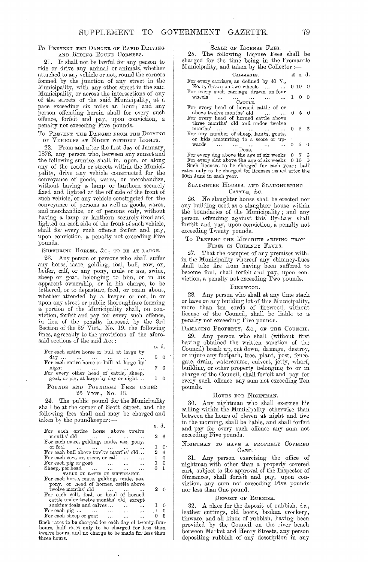#### To PREVENT THE DANGER OF RAPID DRIVING AND RIDING ROUND OORNERS.

21. It shall not be lawful for any person to ride or drive any animal or animals, whether attached to any vehicle or not, round the corners formed by the junction of any street in the Municipality, with any other street in the said Municipality, or across the intersections of any of the streets of the said Municipality, at a pace exceeding six miles an hour; and any person offending herein shall for every such offence, forfeit and pay, upon conviction, a penalty not exceeding Five pounds.

#### TO PREVENT THE DANGER FROM THE DRIVING OF VEHICLES AT NIGHT WITHOUT LIGHTS.

22. From and after the first day of January, 1878, any person who, between any sunset and the following sunrise, shall, in, upon, or along any of the roads or streets within the Municipality, drive any vehiele constructed for the conveyance of goods, wares, or merchandize, without having a lamp or lanthorn securely fixed and lighted at the off side of the front of such vehicle, or any vehicle constructed for the conveyance of persons as well as goods, wares, and merchandize, or of persons only, without having a lamp or lanthorn securely fixed and lighted on each side of the front of such vehiele, shall for every such offence forfeit and pay, upon conviction, a penalty not exceeding Five pounds.

## SUFFERING HORSES, &c., TO BE AT LARGE.

23. Any person or persons who shall suffer any horse, marc, gelding, foal, bull, cow, ox, heifer, calf, or any pony, mule or ass, swine, sheep or goat, belonging to him, or in his apparent ownership, or in his charge, to be tethered, or to depasture, feed, or roam about, whether attended by a keeper or not, in or upon any street or public thoroughfare forming a portion of the Municipality shall, on conviction, forfeit and pay for every such offence, in lieu of the penalty imposed by the 3rd Section of the 39 Vict., No. 19, the following fines, agreeably to the provisions of the aforesaid sections of the said Act:

|                                           | s. a.      |
|-------------------------------------------|------------|
| For each entire horse or bull at large by |            |
| $\text{day}$                              | 50         |
| For each entire horse or bull at large by |            |
| night                                     | 76         |
| For every other head of cattle, sheep,    |            |
| goat, or pig, at large by day or night    | $1 \Omega$ |
|                                           |            |

## POUNDS AND POUNDAGE FEES UNDER 25 VICT., No. 13.

24. The public pound for the Municipality shall be at the corner of Scott Street, and the following fees shall and may be charged and  $t$ aken by the poundkeeper: $-$ 

|                                                     | s. d.          |
|-----------------------------------------------------|----------------|
| For each entire horse above twelve                  |                |
| months' old                                         | 26             |
| For each mare, gelding, mule, ass, pony,            |                |
| or foal                                             | $1 \quad 0$    |
| For each bull above twelve months' old              | $2\quad 6$     |
| For each cow, $\alpha x$ , steer, or calf           | $1\quad$       |
| For each pig or goat                                | $1 \quad 0$    |
| Sheep, per head $\ldots$ $\ldots$ $\ldots$ $\ldots$ | 0 <sub>1</sub> |
| TABLE OF RATES OF SUSTENANCE.                       |                |
| For each horse, mare, gelding, mule, ass,           |                |
| pony, or head of horned cattle above                |                |
| twelve months' old                                  | 20             |
| For each colt, foal, or head of horned              |                |
| cattle under twelve months' old, except             |                |
| sucking foals and calves                            | $1\quad 0$     |
| For each pig $\cdots$ 1 0                           |                |
| For each sheep or goat                              | 0 <sub>6</sub> |

Such rates to be charged for each day of twenty-four hours, half rates only to be charged for less than twelve hours, and no charge to be made for less than three hours.

## SCALE OF LICENSE FEES.

25. The following License Fees shall be charged for the time being in the Fremantle<br>Municipality, and taken by the Collector :—

| CARRIAGES.                                                                         | £ s. d. |  |
|------------------------------------------------------------------------------------|---------|--|
| For every carriage, as defined by 40 $V$ .,<br>No. 5, drawn on two wheels   0 10 0 |         |  |
| For every such carriage drawn on four<br>wheels<br>CATTLE.                         |         |  |
| For every head of horned cattle of or                                              |         |  |
| above twelve months' old $\dots$ $\dots$ 0 5 0                                     |         |  |
| For every head of horned cattle above                                              |         |  |
| three months' old and under twelve<br>months'      0 2 6                           |         |  |
| For any number of sheep, lambs, goats,                                             |         |  |
| or kids amounting to a score or up-                                                |         |  |
| wards                                                                              |         |  |
| $_{\mathrm{Dogs.}}$                                                                |         |  |
| For example dog shows the second six weeks $0.7$ $\beta$                           |         |  |

For every dog above the age of six weeks 0 7 6 For every slut above the age of six weeks 0 10 0 Such licenses to be charged for each year; half rates only to be charged for licenses issued after the 30th June in each year.

#### SLAUGHTER HOUSES, AND SLAUGHTERING OATTLE, &c.

26. No slaughter house shall be erected nor any building used as a slaughter house within the boundaries of the Municipality;. and any person offending against this By -Law shall forfeit and pay, upon conviction, a penalty not exceeding Twenty pounds.

#### TO PREVENT THE MISCHIEF ARISING FROM FIRES IN CHIMNEY FLUES.

27. That the occupier of any premises within the Municipality whereof any chimney-flues shall take fire from having been suffered to become foul, shall forfeit and pay, upon conviction, a penalty not exceeding Two pounds.

#### FIREWOOD.

28. Any person who shall at any time stack or have on any building lot of this Municipality, more than ten cords of firewood, without license of the Oouncil, shall be liable to a penalty not exceeding Five pounds.

## DAMAGING PROPERTY, &c., OF THE COUNCIL.

29. Any person who shall (without first having obtained the written sanction of the Council) break up, cut down, damage, destroy, or injure any footpath, tree, plant, post, fence, gate, drain, watercourse, culvert, jetty, wharf, building, or other property belonging to or in charge of the Oouncil, shall forfeit and pay for every such offence any sum not exceeding Ten pounds.

## HOURS FOR NIGHTMAN.

30. Any nightman who shall exercise his calling within the Municipality otherwise than between the hours of eleven at night and five in the morning, shall be liable, and shall forfeit and pay for every such offence any sum not exceeding Five pounds.

#### NIGHTMAN TO HAVE A PROPERLY COVERED OART.

31. Any person exercising the office of nightman with other than a properly covered cart, subject to the approval of the Inspector of Nuisances, shall forfeit and pay, upon conviction, any sum not exceeding Five pounds nor less than One pound.

#### DEPOSIT OF RUBBISH.

32. A place for the deposit of rubbish, *i.e.,*  leather cuttings, old boots, broken crockery, tinware, and all kinds of rubbish, having been provided by the Council on the river beach between Market and Henry Streets, any person depositing rubbish of any description in any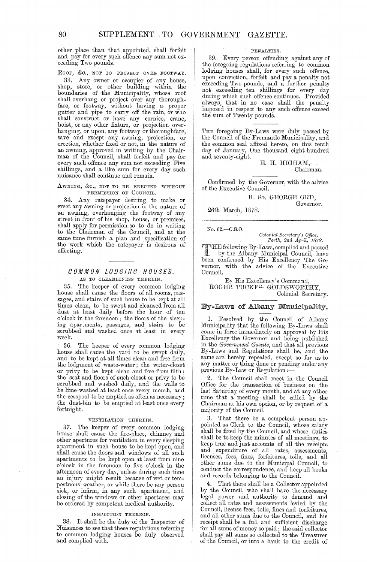80 SUPPLEMENT **TO** GOVERNMENT GAZETTE.

other place than that appointed, shall forfeit and pay for every such offence any sum not exceeding Two pounds.

ROOF, &c., NOT TO PROJECT OVER FOOTWAY.

33. Any owner or occupier of any house, shop, store, or other building within the boundaries of the Municipality, whose roof shall overhang or project over any thoroughfare, or footway, without having a proper gutter and pipe to carry off the rain, or who shall construct or have any cornice, crane, hoist, or any other fixture, or projection overhanging, or upon, any footway or thoroughfare, save and except any awning, projection, or erection, whether fixed or not, in the nature of an awning, approved in writing by the Chairman of the Council, shall forfeit and pay for every such offence any sum not exceeding Five shillings, and a like sum for every day such nuisance shall continue and remain.

AWNING, &c., NOT TO BE ERECTED WITHOUT PERMISSION OF COUNCIL.

34. Any ratepayer desiring to make or erect any awning or projection in the nature of an awning, overhanging the footway of any street in front of his shop, house, or premises, shall apply for permission so to do in writing to the Chairman of the Council, and at the same time furnish a plan and specification of the work which the ratepayer is desirous of effecting.

## COMMON LODGING HOUSES. AS TO CLEANLINESS THEREIN.

35. The keeper of every common lodging house shall cause the floors of all rooms, passages, and stairs of such house to be kept at all times clean, to be swept and cleansed from all dust at least daily before the hour of ten 0' clock in the forenoon; the floors of the sleeping apartments, passages, and stairs to be scrubbed and washed once at least in every week.

36. The keeper of every common lodging house shall cause the yard to be swept daily, and to be kept at all times clean and free from the lodgment of waste-water; the water-closet or privy to be kept clean and free from filth; the seat and floors of such closet or privy to be scrubbed and washed daily, and the walls to be lime-washed at least once every month, and the cesspool to be emptied as often as necessary; the dust-bin to be emptied at least once every fortnight.

#### VENTILATION THEREIN.

37. The keeper of every common lodging house'shall cause the fire. place, chimney and other apertures for ventilation in every sleeping apartment in such house to be kept open, and shall cause the doors and windows of all such apartments to be kept open at least from nine o'clock in the forenoon to five o'clock in the afternoon of every day, unless during such time an injury might result because of wet or tempestuous weather, or while there be any person sick, or infirm, in any such apartment, and closing of the windows or other apertures may be ordered by competent medical authority.

#### INSPECTION THEREOF.

38. It shall be the duty of the Inspector of Nuisances to see that these regulations referring to common lodging houses be duly observed and complied with.

#### PENALTIES.

39. Every person offending against any of the foregoing regulations referring to common lodging houses shall, for every such offence, upon conviction, forfeit and pay a penalty not exceeding Two pounds, and a further penalty not exceeding ten shillings for every day during which such offence continues. Provided always, that in no case shall the penalty imposed in respect to any such offence exceed the sum of Twenty pounds.

THE foregoing By-Laws were duly passed by the Council of the Fremantle Municipality, and the common seal affixed hereto, on this tenth day of January, One thousand eight hundred and seventy-eight.

E. H. HIGHAM, Chairman.

Confirmed by the Governor, with the advice of the Executive CounciL

H. ST. GEORGE ORD,

Governor.

26th March, 1878.

No. 62.-C.S.O.

*Col011ial Secretary's Oilice, Perth, 2nd Ap"il, 1878.* 

 $T$ THE following By-Laws, compiled and passed<br>  $\frac{1}{\sqrt{2}}$  by the Albany Municipal Council, have<br>
been confirmed by Hig Excellency The Co been confirmed by His Excellency The Govemor, with the advice of the Executive CounciL

By His Excellency's Command, ROGEŘ TUCKF<sup>D.</sup> GOLDSWORTHY. Colonial Secretary.

## By-Laws of Albany Municipality.

1. Resolved by the Council of Albany Municipality that the following By-Laws shall come in force immediately on approval by His Excellency the Govemor and being published in the *Govemnwnt Gazette,* and that all previous By-Laws and Regulations shall be, and the same are hereby repealed, except so far as to any matter or thing done or pending under any previous By-Law or Regulation:-

2. The Council shall meet in the Council Office for the transaction of business on the last Saturday of every month, and at any other time that a meeting shall be called by the Chairman at his own option, or by request of a majority of the Council.

That there be a competent person appointed as Clerk to the Council, whose salary shall be fixed by the Council, and whose duties shall be to keep the minutes of all meetings, to keep true and just accounts of all the receipts and expenditure of all rates, assessments, licenses, fees, fines, forfeitures, tolls, and all other sums due to the Municipal Council, to conduct the correspondence, and keep all books and records belonging to the Council.

4. That there shall be a Collector appointed by the Council, who shall have the necessary legal power and authority to demand and collect all rates and assessments levied by the Council, license fees, tolls, fines and forfeitures, and all other sums due to the Council, and his receipt shall be a full and sufficient discharge for all sums of money so paid; the said collector shall pay all sums so collected to the Treasurer of the Council, or into a bank to the credit of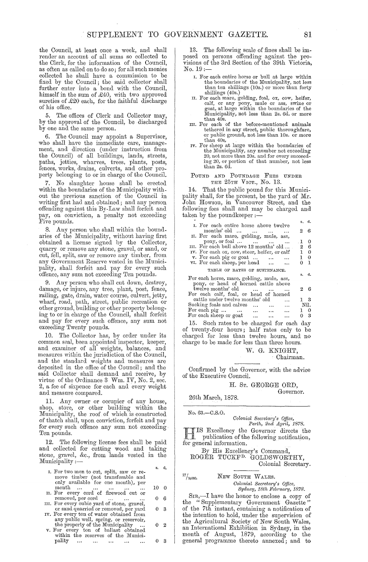the Oouncil, at least once a week, and shall render an account of all sums so collected to the Clerk, for the information of the Oouncil, as often as called on to do so; for all such monies collected he shall have a commission to be fixed by the Oouncil; the said collector shall further enter into a bond with the Council, himself in the sum of £40, with two approved sureties of £20 each, for the faithful discharge of his office.

5. The offices of Olerk and Oollector may, by the approval of the Council, be discharged by one and the same person.

6. The Oouncil may appoint a Supervisor, who shall have the immediate care, management, and direction (under instruction from the Oouncil) of all buildings, lands, streets, paths, jetties, wharves, trees, plants, posts, fences, works, drains, culverts, and other property belonging to or in charge of the Oouncil.

7. No slaughter house shall be erected within the boundaries of the Municipality without the previous sanction of the Oouncil in writing first had and obtained; and any person offending against this By-Law shall forfeit and pay, on conviction, a penalty not exceeding Five pounds.

8. Any person who shall within the boundaries of the Municipality, without having first obtained a license signed by the Oollector, quarry or remove any stone, gravel, or sand, or cut, fell, split, saw or remove any timber, from any Government Reserve vested in the Municipality, shall forfeit and pay for every such offence, any sum not exceeding Ten pounds.

9. Any person who shall cut down, destroy, damage, or injure, any tree, plant, post, fence, railing, gate, drain, water course, culvert, jetty, wharf, road, path, street, public recreation or other ground, building or other property belonging to or in charge of the Oouncil, shall forfeit and pay for every such offence, any sum not exceeding Twenty pounds.

The Collector has, by order under its common seal, been appointed inspector, keeper, and examiner of all weights, balances, and measures within the jurisdiction of the Oouncil, and the standard weights and measures are deposited in the office of the Council; and the said Oollector shall demand and receive, by virtue of the Ordinance 3 Wm. *IV,* No. 2, sec. 2, a fee of sixpence for each and every weight and measure compared.

11. Any owner or occupier of any house, shop, store, or other building within the Municipality, the roof of which is constructed of thatch shall, upon conviction, forfeit and pay for every such offence any sum not exceeding Ten pounds.

12. The following license fees shall be paid and collected for cutting wood and taking stone, gravel, &c., from lands vested in the Municipality :-

| I. For two men to cut, split, saw or re-    |                                | s. | ₫.       |
|---------------------------------------------|--------------------------------|----|----------|
| move timber (not transferable and           |                                |    |          |
| only available for one month), per<br>month | and the same state<br>$\ddots$ | 10 | $\Omega$ |
| II. For every cord of firewood cut or       |                                |    |          |

- removed, per cord ... ... ... 0 6 III. For every cubic yard of stone, gravel,<br>or sand quarried or removed, per yard 0 3
- IV. For every ton of water obtained from any public well, spring, or reservoir,<br>the property of the Municipality ... 0 2<br>v. For every ton of ballast obtained
- within the reserves of the Municipality ... ... ... ... ... 0 3

13. The following scale of fines shall be imposed on persons offending against the provisions of the 3rd Section of the 39th Victoria, No. 19;-

- I. For each entire horse or bull at large within the boundaries of the Municipality, not less than ten shillings (lOs.) or more than forty shillings (40s.)
- H. For each mare, gelding, foal, ox, cow, heifer, calf, or any pony, mule or ass, swine or goat, at large within the boundaries of the Municipality, not less than 2s. 6d. or more
- than 40s.<br>
III. For each of the before-mentioned animals<br>
tethered in any street, public thoroughfare,<br>
or public ground, not less than 10s. or more than 40s.
- IV. For sheep at large within the boundaries of the Municipality, any number not exceeding 20, not more than 20s. and for every succeeding 20, or portion of that number, not less than 2s. 6d.

#### POUND AND POUNDAGE FEES UNDER THE 25TH VICT., No. 13.

14. That the public pound for this Municipality shall, for the present, be the yard of Mr. John Howson, in Vancouver Street, and the following fees shall and may be charged and taken by the poundkeeper :—<br>  $\frac{1}{2}$  s. d.

| I. For each entire horse above twelve                          |                |  |
|----------------------------------------------------------------|----------------|--|
| months' old                                                    | 26             |  |
| II. For each mare, gelding, mule, ass,                         |                |  |
| pony, or foal $\dots$ $\dots$ $\dots$ $\dots$                  | $\mathbf{I}$ 0 |  |
| III. For each bull above 12 months' old                        | $2\quad 6$     |  |
| IV. For each ox, cow, steer, heifer, or calf                   | $1 \quad 0$    |  |
| v. For each pig or goat                                        | $1 \quad 0$    |  |
| vI. For each sheep, per head                                   | $0-1$          |  |
| TABLE OF RATES OF SUSTENANCE.                                  |                |  |
|                                                                | s. d.          |  |
| For each horse, mare, gelding, mule, ass,                      |                |  |
| pony, or head of horned cattle above                           |                |  |
| twelve months' old                                             | 26             |  |
| For each calf, foal, or head of horned                         |                |  |
| cattle under twelve months' old<br>$\cdots$                    | $1\quad 3$     |  |
| Sucking foals and calves<br>$\sim$ $\sim$ $\sim$ $\sim$ $\sim$ | Nil.           |  |
| For each pig                                                   | 10             |  |
| For each sheep or goat<br>فتتراه المتدار المتداري              | 03             |  |

15. Such rates to be charged for each day of twenty -four hours; half rates only to be charged for less than twelve hours, and no charge to be made for less than three hours.

W. G. KNIGHT,

Ohairman.

Oonfirmed by the Governor, with the advice of the Executive Oouncil.

#### H. ST. GEORGE ORD, Governor.

26th March, 1878.

No. 63.-C.S.O.

*Colonial Secretary's Office,*<br>Perth, 2nd April, 1878.

*Perth, 2nd April, 1878.*<br> **HIS Excellency the Governor directs the publication of the following notification,** for general information.

By His Excellency's Oommand, ROGER TUOKFD. GOLDSWORTHY, Oolonial Secretary.

 $\frac{77}{10500}$ . NEW SOUTH WALES. *Colonial Secretary's Office, Syli,ney, 18th Februct'ry, 1878.* 

SIR,—I have the honor to enclose a copy of the "Supplementary Government Gazette" of the 7th instant, containing a notification of the intention to hold, under the supervision of the Agricultural Society of New South Wales, an International Exhibition in Sydney, in the month of August, 1879, according to the general programme thereto annexed; and to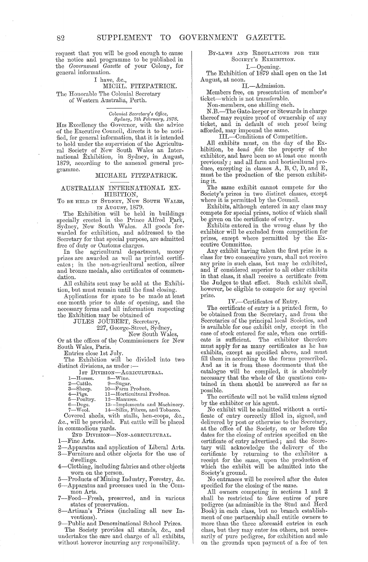request that you will be good enough to cause the notice and programme to be published in the *Govemrnent Gazette* of your Colony, for general information.

#### I have, &c., MICHL. FITZPATRICK.

The Honorable The Colonial Secretary

of vVestern Australia, Perth.

*Colonial Secretary's Office,*<br>*Sydney, 7th February, 1878.*<br>HIS Excellency the Governor, with the advice of the Executive Council, directs it to be notified, for general information, that it is intended to hold under the supervision of the Agricultural Society of New South Wales an International Exhibition, in Sydney, in August, 1879, according to the annexed general programme.

#### MICHAEL FITZPATRICK.

## AUSTRALIAN INTERNATIONAL EX-HIBITION,

To BE HELD IN SYDNEY, NEW SOUTH WALES, IN AUGUST, 1879.

The Exhibition will be held in buildings specially erected in the Prince Alfred Park, Sydney, New South Wales. All goods forwarded for exhibition, and addressed to the Secretary for that special purpose, are admitted free of duty or Customs charges.

In the agricultural department, money prizes are awarded as well as printed certificates; in the non-agricultural section, silver and bronze medals, also certificates of commendation.

All exhibits sent mav be sold at the Exhibition, but must remain until the final closing.

Applications for space to bc made at least one month prior to date of opening, and the necessary forms and all information respecting the Exhibition may be obtained of

JULES JOUBERT, Secretary,

227, George-Street, Sydney,

New South Wales,

Or at the offices of the Commissioners for New South Wales, Paris.

Entries close 1st July.

The Exhibition will be divided into two distinct divisions, as under :-

1st DIVISION-AGRICULTURAL.

| —Horses. | $8 - Wine$ |
|----------|------------|
|          |            |

- 
- 1—Horses. 8—Wine.<br>2—Cattle. 9—Sugar.<br>3—Sheep. 10—Farm Produce.

3—Sheep. 10—Farm Produce.<br>4—Pigs. 11—Horticultural Produce.<br>5—Poultry. 12—Manures.

-Poultry. 12—Manures.<br>-Dogs. 13-—Implemer

6-Dogs. 13--Implements and Machinery.<br>7-Wool. 14-Silks, Fibres, and Tobacco. 14-Silks, Fibres, and Tobacco.

Covered sheds, with stalls, hen-coops, &c., &c., will be provided. Fat cattle will be placed in commodious yards.

2ND DIVISION-NoN-AGRICULTURAL.

-Fine Arts.

- 2-Apparatus and application of Liberal Arts.
- 3-Furnitme and other objects for the use of dwellings.
- 4-Clothing, including fabrics and other objects worn on the person.
- 5-Products of'Mining Industry, Forestry, &c. 6-Apparatus and processes used in the Com-

mon Arts.

- 7-Food-Fresh, preserved, and in various states of preservation.
- 8-Artizan's Prizes (including all new Inventions) .
- 9-Public and Denominational School Prizes.

The Society provides all stands, &c., and undertakes the care and charge of all exhibits, without however incurring any responsibility.

#### BY-LAWS AND REGULATIONS FOR THE SOCIETY'S EXHIBITION.

## I.-Opening.

The Exhibition of 1879 shall open on the 1st August, at noon.

Il.-Admission.

Members free, on presentation of member's ticket-which is not transferable.

Non-members, one shilling each.

N.B.-The Gate-keeper or Stewards in charge thereof may require proof of ownership of any ticket, and in default of such proof being afforded, may impound the same.

IIl.-Conditions of Competition.

All exhibits must, on the day of the Exhibition, be *bonc1 fide* the property of the exhibitor, and have been so at least one month previously; and all farm and horticultural produce, excepting in classes A, B, C, D, and E, must be the production of the person exhibit- $\sum_{i=1}^n$  ing it.

The same exhibit cannot compete for the Society's prizes in two distinct classes, except; where it is permitted by the Council.

Exhibits, although entered in any class may compete for special prizes, notice of which shall be given on the certificate of entry.

Exhibits entered in the wrong class by the exhibitor will be excluded from competition for prizes, except where permitted by the Executive Committee.

Any exhibit having taken the first prize in a class for two consecutive years, shall not receive any prize in such class, but may be exhibited, and if considered superior to all other exhibits in that class, it shall receive a certificate from the Judges to that effect. Such exhibit shall, however, be eligible to compete for any special prize.

IV.-Certificates of Entry.

The certificate of entry is a printed form, to be obtained from the Secretary, and from the Secretaxies of the principal local Societies, and is available for one exhibit only, except in the case of stock entered for sale, when one ccrtificate is sufficient. The exhibitor therefore must apply for as many certificates as he has exhibits, except as specified above, and must fill them in according to the forms prescribed. And as it is from these documents that the catalogue will be compiled, it is absolutely necessary that the whole of the questions contained in them should be answered as far as possible.

The certificate will not be valid unless signed by the exhibitor or his agent.

No exhibit will be admitted without a certificate of entry correctly filled in, signed, and delivered by post or otherwise to the Secretary, at the office of the Societv, on or before the dates for the closing of entries specified on the certificate of entry advertised; and the Secretary will acknowledge the delivery of the certificate by returning to the exhibitor a receipt for the same, upon the production of which the exhibit will be admitted into the Society's ground.

No entrances will be received after the dates specified for the closing of the same.

All owners competing' in sections 1 and 2 shall be restricted to *tln'ee* entires of pure pedigree (as admissible in the Stud and Herd Book) in each class, but no branch establishment of one partnership shall entitle owners to more than the three aforesaid entries in each class, but they may enter *ten* others, not necessarily of pure pedigree, for exhibition and sale on the grounds upon payment of a fee of ten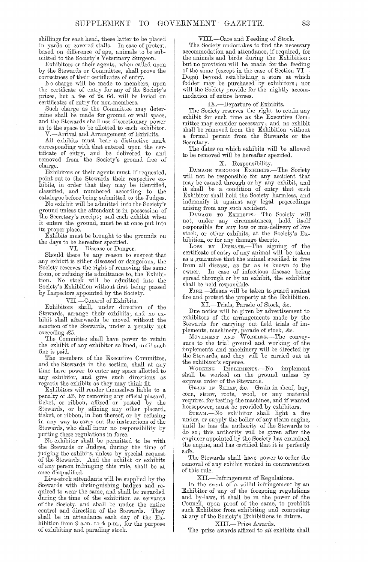shillings for each head, these latter to be placed in yards or covered stalls. In case of protest, based on difference of age, animals to be submitted to the Society's Veterinary Surgeon.

Exhibitors or their agents, when called upon by the Stewards or Committee, shall prove the correctness of their certificates of entry.

No charge will be made to members, upon the certificate of entry for any of the Society's prizes, but a fee of 2s. 6d. will be levied on certificates of entry for non-members.

Such charge as the Committee may determine shall be made for ground or wall space, and the Stewards shall use discretionary power as to the space to be allotted to each exhibitor. V.-Arrival and Arrangement of Exhibits.

All exhibits must bear a distinctive mark corresponding with that entered upon the cer-<br>tificate of entry, and be delivered to and removed from the Society's ground free of charge.

Exhibitors or their agents must, if requested, point out to the Stewards their respective exhibits, in order that they may be identified, classified, and numbered according to the catalogue before being submitted to the Judges.

No exhibit will be admitted into the Society's ground unless the attendant is in possession of the Secretary's receipt; and each exhibit when it enters the ground, must be at once put into its proper place.

Exhibits must be brought to the grounds on the days to be hereafter specified.

VI.-Disease or Danger.

Should there be any reason to suspect that any exhibit is either diseased or dangerous, the Society reserves the right of removing the same VI.—Disease or Danger.<br>Should there be any reason to suspect that<br>any exhibit is either diseased or dangerous, the<br>Society reserves the right of removing the same from, or refusing its admittance to, the Exhibition. No stock will be admitted into the Society's Exhibition without first being passed by Inspectors appointed by the Society.

VII.-Control of Exhibits.

Exhibitors shall, under direction of the Stewards, arrange their exhibits; and no exhibit shall afterwards be moved' without the sanction of the Stewards, under a penalty not exceeding £5.

The Oommittee shall have power to retain the exhibit of any exhibitor so fined, until such fine is paid.

The members of the Executive Committee, and the Stewards in the section, shall at any time have power to enter any space allotted to any exhibitor, and give such directions as regards the exhibits as they may think fit.

Exhibitors will render themselves liable to a penalty of £5, by removing any official placard, ticket, or ribbon, affixed or posted by the Stewards, or by affixing any other placard, ticket, or ribbon, in lieu thereof, or by refusing in any way to carry out the instructions of the Stewards, who shall incur no responsibility by putting these regulations in force.

No exhibitor shall be permitted to be with the Stewards or Judges, during the time of judging the exhibits, unless by special request or the Stewards. And the exhibit or exhibits of any person infringing this rule, shall be at once disqualified.

Live-stock attendants will be supplied by the Stewards with distinguishing badges and required to wear the same, and shall be regarded<br>during the time of the exhibition as servants of the Society, and shall be under the entire control and direction of the Stewards. They shall be in attendance each day of the Exhibition from  $9$  a.m. to  $4$  p.m., for the purpose of exhibiting and parading stock.

VIII.-Care and Feeding of Stock.

The Society undertakes to find the necessary accommodation and attendance, if required, for the animals and birds during the Exhibition: but no provision will be made for the feeding of the same (except in the case of Section VI--Dogs) beyond establishing a store at which fodder may be purchased by exhibitors; nor will the Society provide for the nightly accommodation of entire horses.

#### IX.-Departure of Exhibits.

The Society reserves the right to retain any exhibit for such time as the Executive Committee may consider necessary; and no exhibit shall be removed from the Exhibition without a formal permit from the Stewards or the Secretary.

The dates on which exhibits will be allowed to be removed will be hereafter specified.

## X.-Responsibility.

DAMAGE THROUGH EXHIBITS.-The Society will not be responsible for any accident that may be caused through or by any exhibit, and it shall be a condition of entry that each Exhibitor shall hold the Society harmless, and indemnify it against any legal proceedings arising from any such accident.

DAMAGE TO EXHIBITS.-The Society will not, under any circumstances, hold itself responsible for any loss or mis-delivery of live stock, or other exhibits, at the Society's Exhibition, or for any damage thereto.

Loss BY DISEASE.—The signing of the certificate of entry of any animal will be taken as a guarantee that the animal specified is free from all disease, as far as is known to the In case of infectious disease being spread through or by an exhibit, the exhibitor shall be held responsible.

FIRE.--Means will be taken to guard against fire and protect the property at the Exhibition.

XI.-Trials, Parade of Stock, &c.

Due notice will be given by advertisement to exhibitors of the arrangements made by the Stewards for carrying out field trials of implements, machinery, parade of stock, &c.

MOVEMENT AND WORKING.-The conveyance to the trial ground and working of the implements and machinery will be directed by the Stewards, and they will be carried out at

the exhibitor's expense. IMPLEMENTS.-No implement shall be worked on the ground unless by express order of the Stewards.

GRAIN IN SHEAF, &c.-Grain in sheaf, hay, corn, straw, roots, wool, or any material required for testing the machines, and if wanted horsepower, must be provided by exhibitors.

STEAM.-No exhibitor shall light a fire under, or supply the boiler of any steam engine, until he has the authority of the Stewards to do so; this authority will be given after the engineer appointed by the Society has examined the engine, and has certified that it is perfectly safe.

The Stewards shall have power to order the removal of any exhibit worked in contravention of this rule.

XIl.-Infringement of Regulations.

In the event of a wilful infringement by an Exhibitor of any of the foregoing regulations and hy-laws, it shall be in the power of the Council, upon proof of the same, to prohibit such Exhibitor from exhibiting and competing at any of the Society's Exhibitions in future.

#### XIII.-Prize Awards.

The prize awards affixed to *all* exhibits shall